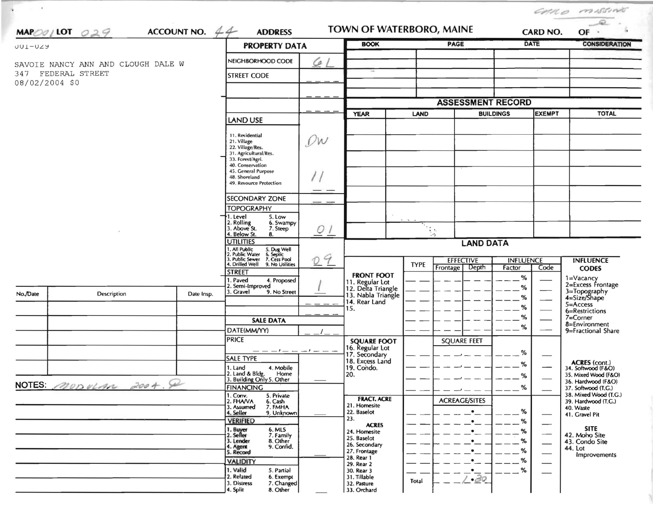| $\,$           |                                                          |                                                                                                 |                                                                                                                                            |                                                                                  |                                                        |                          |                                       |                            |                                              | CHILO MISSING                              |
|----------------|----------------------------------------------------------|-------------------------------------------------------------------------------------------------|--------------------------------------------------------------------------------------------------------------------------------------------|----------------------------------------------------------------------------------|--------------------------------------------------------|--------------------------|---------------------------------------|----------------------------|----------------------------------------------|--------------------------------------------|
|                | $MAPOO/LOT$ 029                                          | ACCOUNT NO. $44$                                                                                | TOWN OF WATERBORO, MAINE<br><b>ADDRESS</b>                                                                                                 |                                                                                  |                                                        |                          |                                       |                            | <b>CARD NO.</b>                              | $\qquad \qquad \mathcal{L}%$<br>OF         |
| <b>UUI-UZY</b> |                                                          | <b>PROPERTY DATA</b>                                                                            |                                                                                                                                            | <b>BOOK</b>                                                                      |                                                        | PAGE                     |                                       | <b>DATE</b>                | <b>CONSIDERATION</b>                         |                                            |
|                |                                                          |                                                                                                 | NEIGHBORHOOD CODE                                                                                                                          | G.                                                                               |                                                        |                          |                                       |                            |                                              |                                            |
|                | SAVOIE NANCY ANN AND CLOUGH DALE W<br>347 FEDERAL STREET | <b>STREET CODE</b>                                                                              |                                                                                                                                            |                                                                                  |                                                        |                          |                                       |                            |                                              |                                            |
| 08/02/2004 \$0 |                                                          |                                                                                                 |                                                                                                                                            |                                                                                  |                                                        |                          |                                       |                            |                                              |                                            |
|                |                                                          |                                                                                                 |                                                                                                                                            |                                                                                  |                                                        |                          |                                       |                            |                                              |                                            |
|                |                                                          |                                                                                                 |                                                                                                                                            | <b>YEAR</b><br>LAND                                                              |                                                        | <b>ASSESSMENT RECORD</b> | <b>BUILDINGS</b>                      | <b>EXEMPT</b>              | <b>TOTAL</b>                                 |                                            |
|                |                                                          | LAND USE                                                                                        |                                                                                                                                            |                                                                                  |                                                        |                          |                                       |                            |                                              |                                            |
|                |                                                          | 11. Residential<br>21. Village<br>22. Village/Res.<br>31. Agricultural/Res.<br>33. Forest/Agri. | $\mathcal{Q}w$                                                                                                                             |                                                                                  |                                                        |                          |                                       |                            |                                              |                                            |
|                |                                                          |                                                                                                 | 40. Conservation<br>45. General Purpose<br>48. Shoreland<br>49. Resource Protection                                                        |                                                                                  |                                                        |                          |                                       |                            |                                              |                                            |
|                |                                                          |                                                                                                 | SECONDARY ZONE                                                                                                                             |                                                                                  |                                                        |                          |                                       |                            |                                              |                                            |
|                |                                                          |                                                                                                 | <b>TOPOGRAPHY</b><br>5. Low<br>1. Level                                                                                                    | $Q$ $\overline{\phantom{a}}$<br>09                                               |                                                        |                          |                                       |                            |                                              |                                            |
|                |                                                          |                                                                                                 | 2. Rolling<br>3. Above St.<br>6. Swampy<br>7. Steep<br>4. Below St.<br>8.                                                                  |                                                                                  |                                                        | $\bullet$ .<br>ie.       |                                       |                            |                                              |                                            |
|                |                                                          |                                                                                                 | <b>UTILITIES</b>                                                                                                                           |                                                                                  | <b>LAND DATA</b>                                       |                          |                                       |                            |                                              |                                            |
|                |                                                          |                                                                                                 | 1. All Public 5. Dug Well<br>2. Public Water 6. Septic<br>3. Public Sewer 7. Cess Pool<br>4. Drilled Well 9. No Utilities<br><b>STREET</b> |                                                                                  |                                                        | <b>TYPE</b>              | <b>EFFECTIVE</b><br>Depth<br>Frontage | <b>INFLUENCE</b><br>Factor | Code                                         | <b>INFLUENCE</b><br><b>CODES</b>           |
|                |                                                          | . Paved<br>4. Proposed<br>2. Semi-Improved                                                      |                                                                                                                                            | <b>FRONT FOOT</b><br>11. Regular Lot<br>12. Delta Triangle<br>13. Nabla Triangle |                                                        |                          | $\%$<br>%                             |                            | 1=Vacancy<br>2=Excess Frontage               |                                            |
| No./Date       | Description                                              | Date Insp.                                                                                      | 3. Gravel<br>9. No Street                                                                                                                  |                                                                                  |                                                        |                          | %                                     | %                          | 3=Topography<br>4=Size/Shape                 |                                            |
|                |                                                          |                                                                                                 |                                                                                                                                            |                                                                                  | 14. Rear Land<br>15.                                   |                          |                                       |                            | $5 =$ Access<br>6=Restrictions               |                                            |
|                |                                                          |                                                                                                 | <b>SALE DATA</b>                                                                                                                           |                                                                                  |                                                        |                          |                                       | %<br>%                     |                                              | $7 =$ Corner<br>8=Environment              |
|                |                                                          |                                                                                                 | DATE(MM/YY)                                                                                                                                |                                                                                  |                                                        |                          |                                       |                            |                                              | 9=Fractional Share                         |
|                |                                                          |                                                                                                 | <b>PRICE</b>                                                                                                                               | $-1$ $ -1$ $ -$                                                                  | <b>SQUARE FOOT</b><br>16. Regular Lot<br>17. Secondary |                          | <b>SQUARE FEET</b>                    |                            |                                              |                                            |
|                |                                                          |                                                                                                 | <b>SALE TYPE</b>                                                                                                                           |                                                                                  | 18. Excess Land                                        |                          |                                       | $\%$                       |                                              | <b>ACRES</b> (cont.)                       |
|                |                                                          |                                                                                                 | 1. Land<br>4. Mobile<br>2. Land & Blde.<br>Home                                                                                            |                                                                                  | 19. Condo.<br>20.                                      |                          |                                       | %<br>$\%$                  |                                              | 34. Softwood (F&O)<br>35. Mixed Wood (F&O) |
|                | NOTES MODULAN 2004.                                      |                                                                                                 | 3. Building Only 5. Other<br>FINANCING                                                                                                     |                                                                                  |                                                        |                          |                                       | %                          |                                              | 36. Hardwood (F&O)<br>37. Softwood (T.G.)  |
|                |                                                          | 1. Conv.<br>5. Private<br>2. FHAVA<br>6. Cash                                                   |                                                                                                                                            | <b>FRACT. ACRE</b>                                                               |                                                        | <b>ACREAGE/SITES</b>     |                                       |                            | 38. Mixed Wood (T.G.)<br>39. Hardwood (T.G.) |                                            |
|                |                                                          |                                                                                                 | 7. FMHA<br>3. Assumed<br>4. Seller<br>9. Unknown                                                                                           |                                                                                  | 21. Homesite<br>22. Baselot                            |                          |                                       | $\%$                       |                                              | 40. Waste                                  |
|                |                                                          |                                                                                                 | <b>VERIFIED</b>                                                                                                                            |                                                                                  | 23.<br><b>ACRES</b>                                    |                          |                                       | %                          |                                              | 41. Gravel Pit                             |
|                |                                                          |                                                                                                 | 6. MLS<br>7. Family<br>1. Buyer<br>2. Seller                                                                                               |                                                                                  | 24. Homesite<br>25. Baselot                            |                          |                                       | %                          |                                              | <b>SITE</b><br>42. Moho Site               |
|                |                                                          |                                                                                                 | 3. Lender<br>8. Other<br>9. Confid.<br>4. Agent<br>5. Record                                                                               |                                                                                  | 26. Secondary                                          |                          |                                       | $\%$                       |                                              | 43. Condo Site<br>44. Lot                  |
|                |                                                          |                                                                                                 | <b>VALIDITY</b>                                                                                                                            |                                                                                  | 27. Frontage<br>28. Rear 1                             |                          |                                       | %<br>℅                     |                                              | Improvements                               |
|                |                                                          |                                                                                                 | 1. Valid<br>5. Partial                                                                                                                     |                                                                                  | 29. Rear 2<br>30. Rear 3                               |                          |                                       | %                          |                                              |                                            |
|                |                                                          | 2. Related<br>6. Exempt<br>7. Changed<br>3. Distress<br>8. Other<br>4. Split                    |                                                                                                                                            | 31. Tillable<br>32. Pasture<br>33. Orchard                                       | Total                                                  | $-30$                    |                                       |                            |                                              |                                            |

 $\rightarrow$